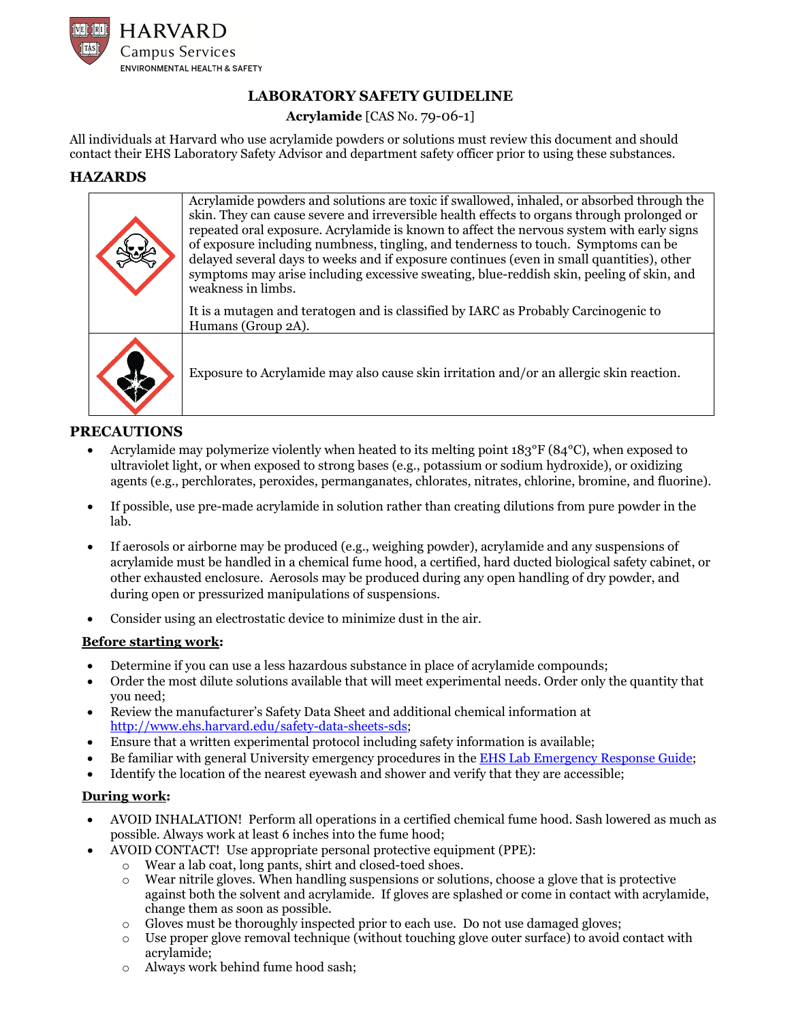

# **LABORATORY SAFETY GUIDELINE**

## **Acrylamide** [CAS No. 79-06-1]

All individuals at Harvard who use acrylamide powders or solutions must review this document and should contact their EHS Laboratory Safety Advisor and department safety officer prior to using these substances.

## **HAZARDS**

| Acrylamide powders and solutions are toxic if swallowed, inhaled, or absorbed through the<br>skin. They can cause severe and irreversible health effects to organs through prolonged or<br>repeated oral exposure. Acrylamide is known to affect the nervous system with early signs<br>of exposure including numbness, tingling, and tenderness to touch. Symptoms can be<br>delayed several days to weeks and if exposure continues (even in small quantities), other<br>symptoms may arise including excessive sweating, blue-reddish skin, peeling of skin, and<br>weakness in limbs. |
|-------------------------------------------------------------------------------------------------------------------------------------------------------------------------------------------------------------------------------------------------------------------------------------------------------------------------------------------------------------------------------------------------------------------------------------------------------------------------------------------------------------------------------------------------------------------------------------------|
| It is a mutagen and teratogen and is classified by IARC as Probably Carcinogenic to<br>Humans (Group 2A).                                                                                                                                                                                                                                                                                                                                                                                                                                                                                 |
| Exposure to Acrylamide may also cause skin irritation and/or an allergic skin reaction.                                                                                                                                                                                                                                                                                                                                                                                                                                                                                                   |

## **PRECAUTIONS**

- Acrylamide may polymerize violently when heated to its melting point 183°F (84°C), when exposed to ultraviolet light, or when exposed to strong bases (e.g., potassium or sodium hydroxide), or oxidizing agents (e.g., perchlorates, peroxides, permanganates, chlorates, nitrates, chlorine, bromine, and fluorine).
- If possible, use pre-made acrylamide in solution rather than creating dilutions from pure powder in the lab.
- If aerosols or airborne may be produced (e.g., weighing powder), acrylamide and any suspensions of acrylamide must be handled in a chemical fume hood, a certified, hard ducted biological safety cabinet, or other exhausted enclosure. Aerosols may be produced during any open handling of dry powder, and during open or pressurized manipulations of suspensions.
- Consider using an electrostatic device to minimize dust in the air.

### **Before starting work:**

- Determine if you can use a less hazardous substance in place of acrylamide compounds;
- Order the most dilute solutions available that will meet experimental needs. Order only the quantity that you need;
- Review the manufacturer's Safety Data Sheet and additional chemical information at [http://www.ehs.harvard.edu/safety-data-sheets-sds;](http://www.ehs.harvard.edu/safety-data-sheets-sds)
- Ensure that a written experimental protocol including safety information is available;
- Be familiar with general University emergency procedures in the [EHS Lab Emergency Response Guide;](https://www.ehs.harvard.edu/node/8206)
- Identify the location of the nearest eyewash and shower and verify that they are accessible;

## **During work:**

- AVOID INHALATION! Perform all operations in a certified chemical fume hood. Sash lowered as much as possible. Always work at least 6 inches into the fume hood;
- AVOID CONTACT! Use appropriate personal protective equipment (PPE):
	- $\circ$  Wear a lab coat, long pants, shirt and closed-toed shoes.<br>When handling suspensions or solut
		- Wear nitrile gloves. When handling suspensions or solutions, choose a glove that is protective against both the solvent and acrylamide. If gloves are splashed or come in contact with acrylamide, change them as soon as possible.
	- $\circ$  Gloves must be thoroughly inspected prior to each use. Do not use damaged gloves;
	- o Use proper glove removal technique (without touching glove outer surface) to avoid contact with acrylamide;
	- o Always work behind fume hood sash;